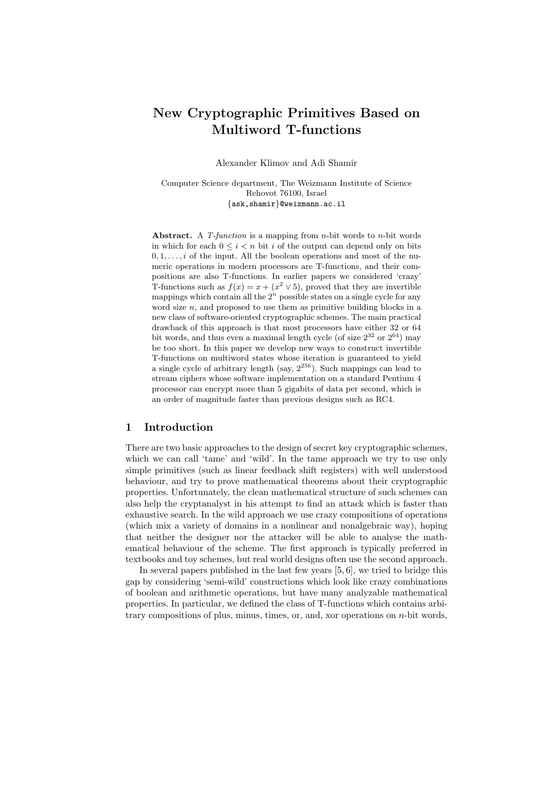# New Cryptographic Primitives Based on Multiword T-functions

Alexander Klimov and Adi Shamir

Computer Science department, The Weizmann Institute of Science Rehovot 76100, Israel {ask,shamir}@weizmann.ac.il

Abstract. A  $T$ -function is a mapping from *n*-bit words to *n*-bit words in which for each  $0 \leq i \leq n$  bit i of the output can depend only on bits  $0, 1, \ldots, i$  of the input. All the boolean operations and most of the numeric operations in modern processors are T-functions, and their compositions are also T-functions. In earlier papers we considered 'crazy' T-functions such as  $f(x) = x + (x^2 \vee 5)$ , proved that they are invertible mappings which contain all the  $2^n$  possible states on a single cycle for any word size  $n$ , and proposed to use them as primitive building blocks in a new class of software-oriented cryptographic schemes. The main practical drawback of this approach is that most processors have either 32 or 64 bit words, and thus even a maximal length cycle (of size  $2^{32}$  or  $2^{64}$ ) may be too short. In this paper we develop new ways to construct invertible T-functions on multiword states whose iteration is guaranteed to yield a single cycle of arbitrary length (say,  $2^{256}$ ). Such mappings can lead to stream ciphers whose software implementation on a standard Pentium 4 processor can encrypt more than 5 gigabits of data per second, which is an order of magnitude faster than previous designs such as RC4.

### 1 Introduction

There are two basic approaches to the design of secret key cryptographic schemes, which we can call 'tame' and 'wild'. In the tame approach we try to use only simple primitives (such as linear feedback shift registers) with well understood behaviour, and try to prove mathematical theorems about their cryptographic properties. Unfortunately, the clean mathematical structure of such schemes can also help the cryptanalyst in his attempt to find an attack which is faster than exhaustive search. In the wild approach we use crazy compositions of operations (which mix a variety of domains in a nonlinear and nonalgebraic way), hoping that neither the designer nor the attacker will be able to analyse the mathematical behaviour of the scheme. The first approach is typically preferred in textbooks and toy schemes, but real world designs often use the second approach.

In several papers published in the last few years [5, 6], we tried to bridge this gap by considering 'semi-wild' constructions which look like crazy combinations of boolean and arithmetic operations, but have many analyzable mathematical properties. In particular, we defined the class of T-functions which contains arbitrary compositions of plus, minus, times, or, and, xor operations on  $n$ -bit words,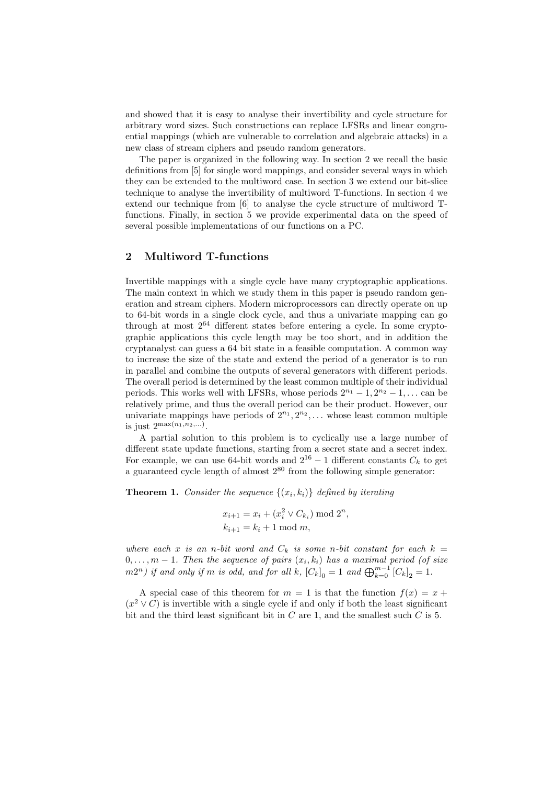and showed that it is easy to analyse their invertibility and cycle structure for arbitrary word sizes. Such constructions can replace LFSRs and linear congruential mappings (which are vulnerable to correlation and algebraic attacks) in a new class of stream ciphers and pseudo random generators.

The paper is organized in the following way. In section 2 we recall the basic definitions from [5] for single word mappings, and consider several ways in which they can be extended to the multiword case. In section 3 we extend our bit-slice technique to analyse the invertibility of multiword T-functions. In section 4 we extend our technique from [6] to analyse the cycle structure of multiword Tfunctions. Finally, in section 5 we provide experimental data on the speed of several possible implementations of our functions on a PC.

#### 2 Multiword T-functions

Invertible mappings with a single cycle have many cryptographic applications. The main context in which we study them in this paper is pseudo random generation and stream ciphers. Modern microprocessors can directly operate on up to 64-bit words in a single clock cycle, and thus a univariate mapping can go through at most 2<sup>64</sup> different states before entering a cycle. In some cryptographic applications this cycle length may be too short, and in addition the cryptanalyst can guess a 64 bit state in a feasible computation. A common way to increase the size of the state and extend the period of a generator is to run in parallel and combine the outputs of several generators with different periods. The overall period is determined by the least common multiple of their individual periods. This works well with LFSRs, whose periods  $2^{n_1} - 1, 2^{n_2} - 1, \ldots$  can be relatively prime, and thus the overall period can be their product. However, our univariate mappings have periods of  $2^{n_1}, 2^{n_2}, \ldots$  whose least common multiple is just  $2^{\max(n_1, n_2,...)}$ .

A partial solution to this problem is to cyclically use a large number of different state update functions, starting from a secret state and a secret index. For example, we can use 64-bit words and  $2^{16} - 1$  different constants  $C_k$  to get a guaranteed cycle length of almost  $2^{80}$  from the following simple generator:

**Theorem 1.** Consider the sequence  $\{(x_i, k_i)\}\)$  defined by iterating

$$
x_{i+1} = x_i + (x_i^2 \vee C_{k_i}) \bmod 2^n,
$$
  

$$
k_{i+1} = k_i + 1 \bmod m,
$$

where each x is an n-bit word and  $C_k$  is some n-bit constant for each  $k =$  $0, \ldots, m-1$ . Then the sequence of pairs  $(x_i, k_i)$  has a maximal period (of size  $(m2<sup>n</sup>)$  if and only if m is odd, and for all k,  $[C_k]_0 = 1$  and  $\bigoplus_{k=0}^{m-1} [C_k]_2 = 1$ .

A special case of this theorem for  $m = 1$  is that the function  $f(x) = x +$  $(x^2 \vee C)$  is invertible with a single cycle if and only if both the least significant bit and the third least significant bit in  $C$  are 1, and the smallest such  $C$  is 5.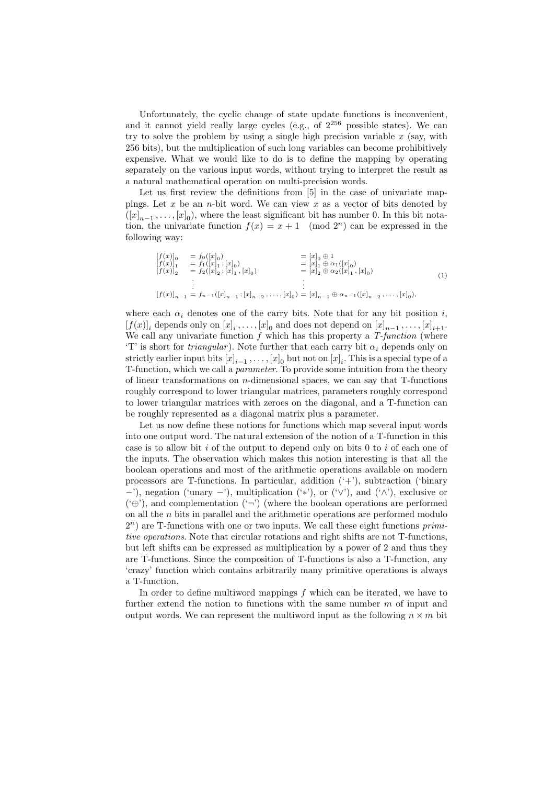Unfortunately, the cyclic change of state update functions is inconvenient, and it cannot yield really large cycles (e.g., of  $2^{256}$  possible states). We can try to solve the problem by using a single high precision variable  $x$  (say, with 256 bits), but the multiplication of such long variables can become prohibitively expensive. What we would like to do is to define the mapping by operating separately on the various input words, without trying to interpret the result as a natural mathematical operation on multi-precision words.

Let us first review the definitions from [5] in the case of univariate mappings. Let x be an n-bit word. We can view x as a vector of bits denoted by  $([x]_{n-1}, \ldots, [x]_0)$ , where the least significant bit has number 0. In this bit notation, the univariate function  $f(x) = x + 1 \pmod{2^n}$  can be expressed in the following way:

$$
\begin{array}{rcl}\n[f(x)]_0 & = f_0([x]_0) & = [x]_0 \oplus 1 \\
[f(x)]_1 & = f_1([x]_1; [x]_0) & = [x]_1 \oplus \alpha_1([x]_0) \\
[f(x)]_2 & = f_2([x]_2; [x]_1, [x]_0) & = [x]_2 \oplus \alpha_2([x]_1, [x]_0) \\
\vdots \\
[f(x)]_{n-1} & = f_{n-1}([x]_{n-1}; [x]_{n-2}, \dots, [x]_0) = [x]_{n-1} \oplus \alpha_{n-1}([x]_{n-2}, \dots, [x]_0),\n\end{array} \tag{1}
$$

where each  $\alpha_i$  denotes one of the carry bits. Note that for any bit position i,  $[f(x)]_i$  depends only on  $[x]_i, \ldots, [x]_0$  and does not depend on  $[x]_{n-1}, \ldots, [x]_{i+1}$ . We call any univariate function  $f$  which has this property a  $T\text{-}function$  (where 'T' is short for *triangular*). Note further that each carry bit  $\alpha_i$  depends only on strictly earlier input bits  $[x]_{i-1}$ ,...,  $[x]_0$  but not on  $[x]_i$ . This is a special type of a T-function, which we call a parameter. To provide some intuition from the theory of linear transformations on  $n$ -dimensional spaces, we can say that T-functions roughly correspond to lower triangular matrices, parameters roughly correspond to lower triangular matrices with zeroes on the diagonal, and a T-function can be roughly represented as a diagonal matrix plus a parameter.

Let us now define these notions for functions which map several input words into one output word. The natural extension of the notion of a T-function in this case is to allow bit i of the output to depend only on bits  $0$  to i of each one of the inputs. The observation which makes this notion interesting is that all the boolean operations and most of the arithmetic operations available on modern processors are T-functions. In particular, addition  $(+)$ , subtraction ('binary  $-$ '), negation ('unary  $-$ '), multiplication ('\*'), or ('∨'), and ('∧'), exclusive or  $(\hat{\theta}, \hat{\theta})$ , and complementation  $(\hat{\theta}, \hat{\theta})$  (where the boolean operations are performed on all the  $n$  bits in parallel and the arithmetic operations are performed modulo  $2<sup>n</sup>$ ) are T-functions with one or two inputs. We call these eight functions  $primi$ tive operations. Note that circular rotations and right shifts are not T-functions, but left shifts can be expressed as multiplication by a power of 2 and thus they are T-functions. Since the composition of T-functions is also a T-function, any 'crazy' function which contains arbitrarily many primitive operations is always a T-function.

In order to define multiword mappings  $f$  which can be iterated, we have to further extend the notion to functions with the same number m of input and output words. We can represent the multiword input as the following  $n \times m$  bit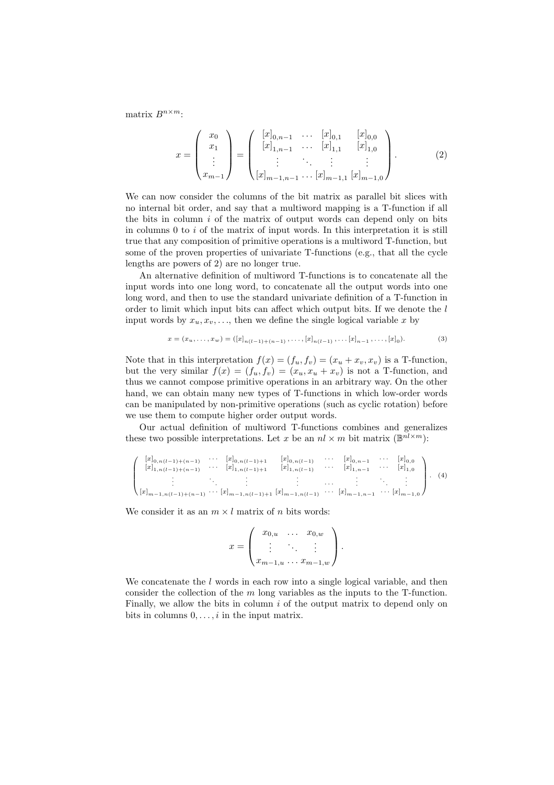matrix  $B^{n \times m}$ :

$$
x = \begin{pmatrix} x_0 \\ x_1 \\ \vdots \\ x_{m-1} \end{pmatrix} = \begin{pmatrix} [x]_{0,n-1} & \cdots & [x]_{0,1} & [x]_{0,0} \\ [x]_{1,n-1} & \cdots & [x]_{1,1} & [x]_{1,0} \\ \vdots & \ddots & \vdots & \vdots \\ [x]_{m-1,n-1} & \cdots & [x]_{m-1,1} & [x]_{m-1,0} \end{pmatrix}.
$$
 (2)

We can now consider the columns of the bit matrix as parallel bit slices with no internal bit order, and say that a multiword mapping is a T-function if all the bits in column  $i$  of the matrix of output words can depend only on bits in columns  $0$  to  $i$  of the matrix of input words. In this interpretation it is still true that any composition of primitive operations is a multiword T-function, but some of the proven properties of univariate T-functions (e.g., that all the cycle lengths are powers of 2) are no longer true.

An alternative definition of multiword T-functions is to concatenate all the input words into one long word, to concatenate all the output words into one long word, and then to use the standard univariate definition of a T-function in order to limit which input bits can affect which output bits. If we denote the  $l$ input words by  $x_u, x_v, \ldots$ , then we define the single logical variable x by

$$
x = (x_u, \dots, x_w) = ([x]_{n(l-1)+(n-1)}, \dots, [x]_{n(l-1)}, \dots, [x]_{n-1}, \dots, [x]_0).
$$
\n(3)

Note that in this interpretation  $f(x) = (f_u, f_v) = (x_u + x_v, x_v)$  is a T-function, but the very similar  $f(x) = (f_u, f_v) = (x_u, x_u + x_v)$  is not a T-function, and thus we cannot compose primitive operations in an arbitrary way. On the other hand, we can obtain many new types of T-functions in which low-order words can be manipulated by non-primitive operations (such as cyclic rotation) before we use them to compute higher order output words.

Our actual definition of multiword T-functions combines and generalizes these two possible interpretations. Let x be an  $nl \times m$  bit matrix  $(\mathbb{B}^{nl \times m})$ :

$$
\begin{pmatrix}\n[x_{0,n(l-1)+(n-1)} & \cdots & [x_{0,n(l-1)+1} & [x_{0,n(l-1)} & \cdots & [x_{0,n-1} & \cdots & [x_{0,0} \\
[x_{1,n(l-1)+(n-1)} & \cdots & [x_{1,n(l-1)+1} & [x_{1,n(l-1)} & \cdots & [x_{1,n-1} & \cdots & [x_{1,0} \\
\vdots & \vdots & \ddots & \vdots & \vdots & \ddots & \vdots \\
[x_{m-1,n(l-1)+(n-1)} & \cdots & [x_{m-1,n(l-1)+1} & [x_{m-1,n(l-1)} & \cdots & [x_{m-1,n-1} & \cdots & [x_{m-1,0}\n\end{pmatrix}.\n\tag{4}
$$

We consider it as an  $m \times l$  matrix of n bits words:

$$
x = \begin{pmatrix} x_{0,u} & \dots & x_{0,w} \\ \vdots & \ddots & \vdots \\ x_{m-1,u} & \dots & x_{m-1,w} \end{pmatrix}.
$$

We concatenate the  $l$  words in each row into a single logical variable, and then consider the collection of the m long variables as the inputs to the T-function. Finally, we allow the bits in column  $i$  of the output matrix to depend only on bits in columns  $0, \ldots, i$  in the input matrix.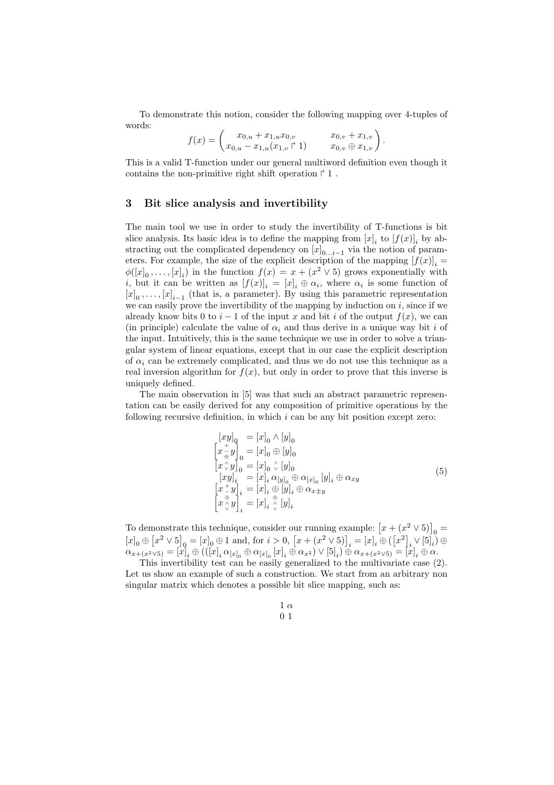To demonstrate this notion, consider the following mapping over 4-tuples of words:

$$
f(x) = \begin{pmatrix} x_{0,u} + x_{1,u}x_{0,v} & x_{0,v} + x_{1,v} \\ x_{0,u} - x_{1,u}(x_{1,v} \upharpoonright 1) & x_{0,v} \oplus x_{1,v} \end{pmatrix}.
$$

This is a valid T-function under our general multiword definition even though it contains the non-primitive right shift operation  $\uparrow$  1.

#### 3 Bit slice analysis and invertibility

The main tool we use in order to study the invertibility of T-functions is bit slice analysis. Its basic idea is to define the mapping from  $[x]_i$  to  $[f(x)]_i$  by abstracting out the complicated dependency on  $[x]_{0...i-1}$  via the notion of parameters. For example, the size of the explicit description of the mapping  $[f(x)]_i =$  $\phi([x]_0, \ldots, [x]_i)$  in the function  $f(x) = x + (x^2 \vee 5)$  grows exponentially with *i*, but it can be written as  $[f(x)]_i = [x]_i \oplus \alpha_i$ , where  $\alpha_i$  is some function of  $[x]_0, \ldots, [x]_{i-1}$  (that is, a parameter). By using this parametric representation we can easily prove the invertibility of the mapping by induction on  $i$ , since if we already know bits 0 to  $i-1$  of the input x and bit i of the output  $f(x)$ , we can (in principle) calculate the value of  $\alpha_i$  and thus derive in a unique way bit i of the input. Intuitively, this is the same technique we use in order to solve a triangular system of linear equations, except that in our case the explicit description of  $\alpha_i$  can be extremely complicated, and thus we do not use this technique as a real inversion algorithm for  $f(x)$ , but only in order to prove that this inverse is uniquely defined.

The main observation in [5] was that such an abstract parametric representation can be easily derived for any composition of primitive operations by the following recursive definition, in which  $i$  can be any bit position except zero:

$$
\begin{aligned}\n\begin{bmatrix} [xy]_0 &= [x]_0 \wedge [y]_0 \\
 x \frac{+}{\oplus} y \end{bmatrix}_0 &= [x]_0 \oplus [y]_0 \\
\begin{bmatrix} x \wedge y \end{bmatrix}_0 &= [x]_0 \wedge [y]_0 \\
\begin{bmatrix} [xy]_i &= [x]_i \alpha_{[y]_0} \oplus \alpha_{[x]_0} [y]_i \oplus \alpha_{xy} \\
\begin{bmatrix} x \frac{+}{y} \end{bmatrix}_i &= [x]_i \oplus [y]_i \oplus \alpha_{x \pm y} \\
\begin{bmatrix} x \stackrel{\oplus}{\vee} y \end{bmatrix}_i &= [x]_i \stackrel{\oplus}{\vee} [y]_i\n\end{aligned}\n\end{aligned}\n\tag{5}
$$

To demonstrate this technique, consider our running example:  $[x + (x^2 \vee 5)]_0 =$  $[x]_0 \oplus [x^2 \vee 5]_0 = [x]_0 \oplus 1$  and, for  $i > 0$ ,  $[x + (x^2 \vee 5)]_i = [x]_i \oplus ([x^2]_i \vee [5]_i) \oplus$  $\alpha_{x+(x^2 \vee 5)} = [x]_i \oplus (([x]_i \alpha_{[x]_0} \oplus \alpha_{[x]_0} [x]_i \oplus \alpha_{x^2}) \vee [5]_i) \oplus \alpha_{x+(x^2 \vee 5)} = [x]_i \oplus \alpha.$ 

This invertibility test can be easily generalized to the multivariate case (2). Let us show an example of such a construction. We start from an arbitrary non singular matrix which denotes a possible bit slice mapping, such as: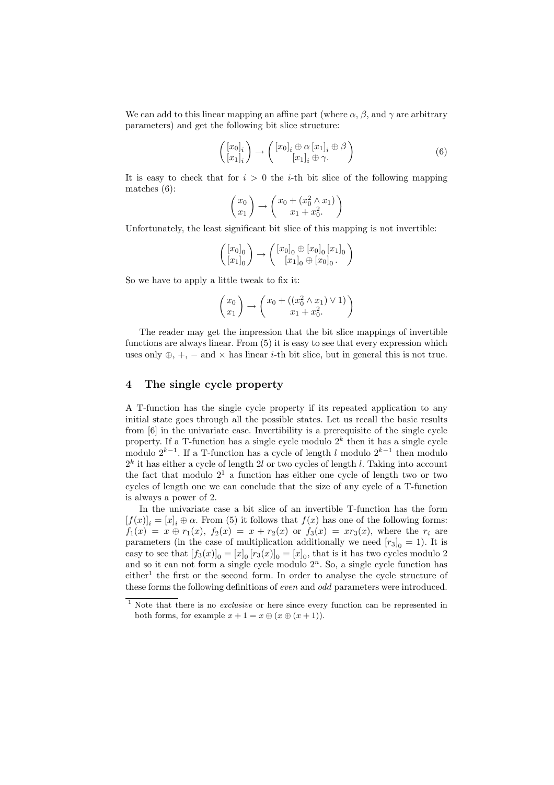We can add to this linear mapping an affine part (where  $\alpha$ ,  $\beta$ , and  $\gamma$  are arbitrary parameters) and get the following bit slice structure:

$$
\begin{pmatrix}\n[x_0]_i \\
[x_1]_i\n\end{pmatrix} \rightarrow \begin{pmatrix}\n[x_0]_i \oplus \alpha \left[x_1\right]_i \oplus \beta \\
[x_1]_i \oplus \gamma.\n\end{pmatrix} \tag{6}
$$

It is easy to check that for  $i > 0$  the *i*-th bit slice of the following mapping matches (6):

$$
\begin{pmatrix} x_0 \\ x_1 \end{pmatrix} \rightarrow \begin{pmatrix} x_0 + (x_0^2 \wedge x_1) \\ x_1 + x_0^2 \end{pmatrix}
$$

Unfortunately, the least significant bit slice of this mapping is not invertible:

$$
\left(\begin{bmatrix} x_0]_0 \\ \begin{bmatrix} x_1 \end{bmatrix}_0 \end{bmatrix} \rightarrow \left(\begin{bmatrix} x_0]_0 \oplus \begin{bmatrix} x_0 \end{bmatrix}_0 \begin{bmatrix} x_1 \end{bmatrix}_0 \\ \begin{bmatrix} x_1 \end{bmatrix}_0 \oplus \begin{bmatrix} x_0 \end{bmatrix}_0. \end{bmatrix}\right)
$$

So we have to apply a little tweak to fix it:

$$
\begin{pmatrix} x_0 \\ x_1 \end{pmatrix} \rightarrow \begin{pmatrix} x_0 + ((x_0^2 \wedge x_1) \vee 1) \\ x_1 + x_0^2. \end{pmatrix}
$$

The reader may get the impression that the bit slice mappings of invertible functions are always linear. From (5) it is easy to see that every expression which uses only  $\oplus$ , +, – and  $\times$  has linear *i*-th bit slice, but in general this is not true.

## 4 The single cycle property

A T-function has the single cycle property if its repeated application to any initial state goes through all the possible states. Let us recall the basic results from [6] in the univariate case. Invertibility is a prerequisite of the single cycle property. If a T-function has a single cycle modulo  $2^k$  then it has a single cycle modulo  $2^{k-1}$ . If a T-function has a cycle of length l modulo  $2^{k-1}$  then modulo  $2<sup>k</sup>$  it has either a cycle of length 2l or two cycles of length l. Taking into account the fact that modulo  $2<sup>1</sup>$  a function has either one cycle of length two or two cycles of length one we can conclude that the size of any cycle of a T-function is always a power of 2.

In the univariate case a bit slice of an invertible T-function has the form  $[f(x)]_i = [x]_i \oplus \alpha$ . From (5) it follows that  $f(x)$  has one of the following forms:  $f_1(x) = x \oplus r_1(x), f_2(x) = x + r_2(x)$  or  $f_3(x) = xr_3(x)$ , where the  $r_i$  are parameters (in the case of multiplication additionally we need  $[r_3]_0 = 1$ ). It is easy to see that  $[f_3(x)]_0 = [x]_0 [r_3(x)]_0 = [x]_0$ , that is it has two cycles modulo 2 and so it can not form a single cycle modulo  $2<sup>n</sup>$ . So, a single cycle function has  $e^{i}$  the first or the second form. In order to analyse the cycle structure of these forms the following definitions of *even* and *odd* parameters were introduced.

<sup>&</sup>lt;sup>1</sup> Note that there is no *exclusive* or here since every function can be represented in both forms, for example  $x + 1 = x \oplus (x \oplus (x + 1)).$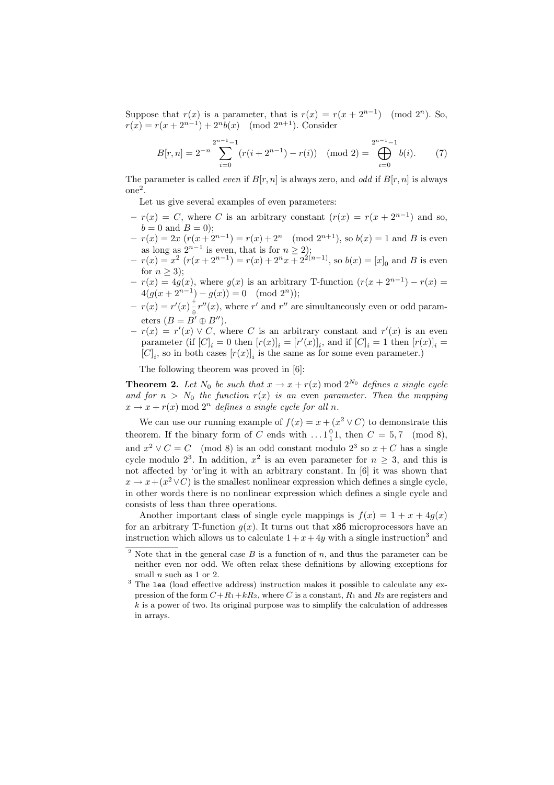Suppose that  $r(x)$  is a parameter, that is  $r(x) = r(x + 2^{n-1}) \pmod{2^n}$ . So,  $r(x) = r(x + 2^{n-1}) + 2^n b(x) \pmod{2^{n+1}}$ . Consider

$$
B[r,n] = 2^{-n} \sum_{i=0}^{2^{n-1}-1} (r(i+2^{n-1}) - r(i)) \pmod{2} = \bigoplus_{i=0}^{2^{n-1}-1} b(i). \tag{7}
$$

The parameter is called *even* if  $B[r, n]$  is always zero, and *odd* if  $B[r, n]$  is always one<sup>2</sup> .

Let us give several examples of even parameters:

- $-r(x) = C$ , where C is an arbitrary constant  $(r(x)) = r(x + 2^{n-1})$  and so,  $b = 0$  and  $B = 0$ ;
- $-r(x) = 2x \left(r(x+2^{n-1})\right) = r(x) + 2^n \pmod{2^{n+1}}$ , so  $b(x) = 1$  and B is even as long as  $2^{n-1}$  is even, that is for  $n \ge 2$ );
- $-r(x) = x^2 (r(x+2^{n-1})) = r(x) + 2^n x + 2^{2(n-1)}$ , so  $b(x) = [x]_0$  and B is even for  $n \geq 3$ ;
- $-r(x) = 4g(x)$ , where  $g(x)$  is an arbitrary T-function  $(r(x + 2^{n-1}) r(x))$  $4(g(x+2^{n-1})-g(x))=0 \pmod{2^n};$
- $-r(x) = r'(x) \frac{1}{\Theta} r''(x)$ , where r' and r'' are simultaneously even or odd parameters  $(B = B' \oplus B'')$ .
- $-r(x) = r'(x) \vee C$ , where C is an arbitrary constant and  $r'(x)$  is an even parameter (if  $[C]_i = 0$  then  $[r(x)]_i = [r'(x)]_i$ , and if  $[C]_i = 1$  then  $[r(x)]_i =$  $[C]_i$ , so in both cases  $[r(x)]_i$  is the same as for some even parameter.)

The following theorem was proved in [6]:

**Theorem 2.** Let  $N_0$  be such that  $x \to x + r(x) \mod 2^{N_0}$  defines a single cycle and for  $n > N_0$  the function  $r(x)$  is an even parameter. Then the mapping  $x \rightarrow x + r(x) \mod 2^n$  defines a single cycle for all n.

We can use our running example of  $f(x) = x + (x^2 \vee C)$  to demonstrate this theorem. If the binary form of C ends with  $\dots$  1<sup>0</sup><sub>1</sub>, then  $C = 5,7 \pmod{8}$ , and  $x^2 \vee C = C \pmod{8}$  is an odd constant modulo  $2^3$  so  $x + C$  has a single cycle modulo  $2^3$ . In addition,  $x^2$  is an even parameter for  $n \geq 3$ , and this is not affected by 'or'ing it with an arbitrary constant. In [6] it was shown that  $x \to x + (x^2 \vee C)$  is the smallest nonlinear expression which defines a single cycle, in other words there is no nonlinear expression which defines a single cycle and consists of less than three operations.

Another important class of single cycle mappings is  $f(x) = 1 + x + 4q(x)$ for an arbitrary T-function  $g(x)$ . It turns out that  $\times 86$  microprocessors have an instruction which allows us to calculate  $1 + x + 4y$  with a single instruction<sup>3</sup> and

<sup>&</sup>lt;sup>2</sup> Note that in the general case  $B$  is a function of  $n$ , and thus the parameter can be neither even nor odd. We often relax these definitions by allowing exceptions for small  $n$  such as 1 or 2.

<sup>&</sup>lt;sup>3</sup> The lea (load effective address) instruction makes it possible to calculate any expression of the form  $C+R_1+kR_2$ , where C is a constant,  $R_1$  and  $R_2$  are registers and  $k$  is a power of two. Its original purpose was to simplify the calculation of addresses in arrays.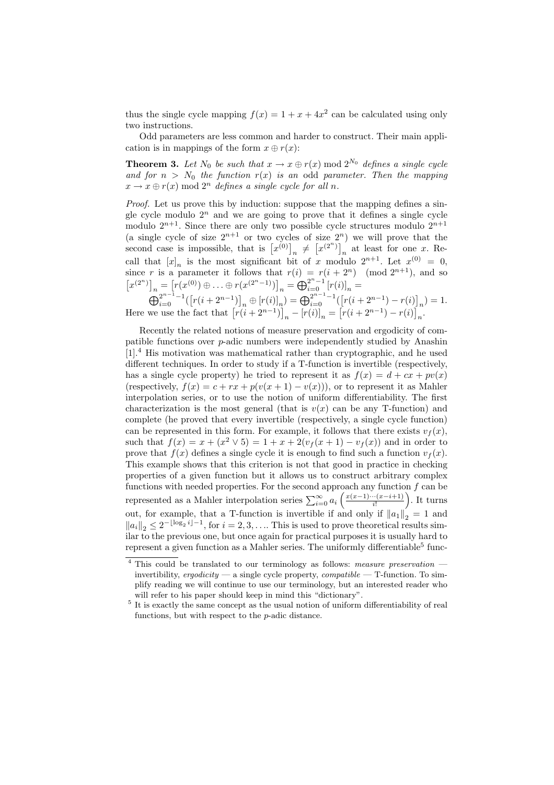thus the single cycle mapping  $f(x) = 1 + x + 4x^2$  can be calculated using only two instructions.

Odd parameters are less common and harder to construct. Their main application is in mappings of the form  $x \oplus r(x)$ :

**Theorem 3.** Let  $N_0$  be such that  $x \to x \oplus r(x) \mod 2^{N_0}$  defines a single cycle and for  $n > N_0$  the function  $r(x)$  is an odd parameter. Then the mapping  $x \to x \oplus r(x) \mod 2^n$  defines a single cycle for all n.

Proof. Let us prove this by induction: suppose that the mapping defines a single cycle modulo  $2<sup>n</sup>$  and we are going to prove that it defines a single cycle modulo  $2^{n+1}$ . Since there are only two possible cycle structures modulo  $2^{n+1}$ (a single cycle of size  $2^{n+1}$  or two cycles of size  $2^n$ ) we will prove that the second case is impossible, that is  $[x^{(0)}]_n \neq [x^{(2^n)}]_n$  at least for one x. Recall that  $[x]_n$  is the most significant bit of x modulo  $2^{n+1}$ . Let  $x^{(0)} = 0$ , since r is a parameter it follows that  $r(i) = r(i + 2<sup>n</sup>) \pmod{2^{n+1}}$ , and so  $[x^{(2^n)}]_n = [r(x^{(0)}) \oplus \ldots \oplus r(x^{(2^n-1)})]_n = \bigoplus_{i=0}^{2^n-1} [r(i)]_n =$ 

$$
\bigoplus_{i=0}^{2^{n-1}-1} \left( \left[ r(i+2^{n-1}) \right]_n \oplus \left[ r(i) \right]_n \right) = \bigoplus_{i=0}^{2^{n-1}-1} \left( \left[ r(i+2^{n-1}) - r(i) \right]_n \right) = 1.
$$
  
Here we use the fact that 
$$
\left[ r(i+2^{n-1}) \right]_n - \left[ r(i) \right]_n = \left[ r(i+2^{n-1}) - r(i) \right]_n.
$$

Recently the related notions of measure preservation and ergodicity of compatible functions over p-adic numbers were independently studied by Anashin [1].<sup>4</sup> His motivation was mathematical rather than cryptographic, and he used different techniques. In order to study if a T-function is invertible (respectively, has a single cycle property) he tried to represent it as  $f(x) = d + cx + pv(x)$ (respectively,  $f(x) = c + rx + p(v(x+1) - v(x))$ ), or to represent it as Mahler interpolation series, or to use the notion of uniform differentiability. The first characterization is the most general (that is  $v(x)$  can be any T-function) and complete (he proved that every invertible (respectively, a single cycle function) can be represented in this form. For example, it follows that there exists  $v_f(x)$ , such that  $f(x) = x + (x^2 \vee 5) = 1 + x + 2(v_f(x+1) - v_f(x))$  and in order to prove that  $f(x)$  defines a single cycle it is enough to find such a function  $v_f(x)$ . This example shows that this criterion is not that good in practice in checking properties of a given function but it allows us to construct arbitrary complex functions with needed properties. For the second approach any function  $f$  can be represented as a Mahler interpolation series  $\sum_{i=0}^{\infty} a_i \left( \frac{x(x-1)\cdots(x-i+1)}{i!} \right)$  $\frac{((x-i+1))}{(i!}$ . It turns out, for example, that a T-function is invertible if and only if  $||a_1||_2 = 1$  and  $||a_i||_2 \leq 2^{-\lfloor \log_2 i \rfloor - 1}$ , for  $i = 2, 3, \ldots$  This is used to prove theoretical results similar to the previous one, but once again for practical purposes it is usually hard to represent a given function as a Mahler series. The uniformly differentiable<sup>5</sup> func-

 $4$  This could be translated to our terminology as follows: measure preservation  $$ invertibility, ergodicity — a single cycle property, compatible — T-function. To simplify reading we will continue to use our terminology, but an interested reader who will refer to his paper should keep in mind this "dictionary".

<sup>&</sup>lt;sup>5</sup> It is exactly the same concept as the usual notion of uniform differentiability of real functions, but with respect to the p-adic distance.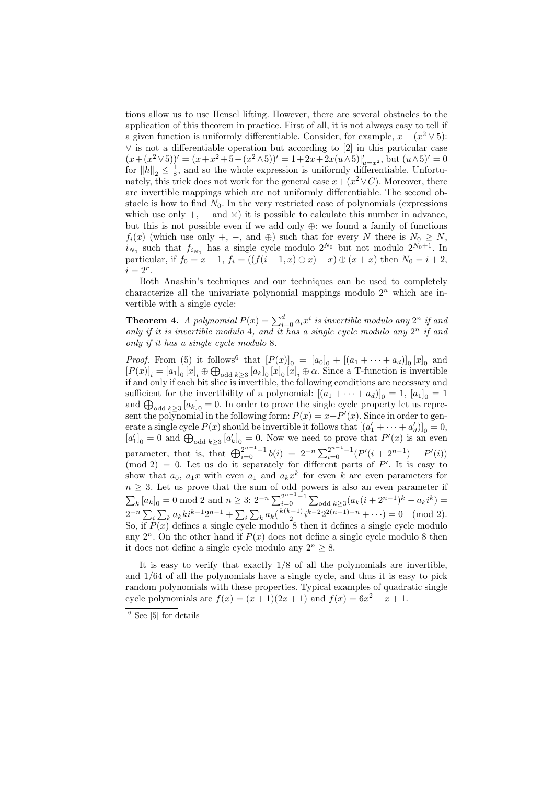tions allow us to use Hensel lifting. However, there are several obstacles to the application of this theorem in practice. First of all, it is not always easy to tell if a given function is uniformly differentiable. Consider, for example,  $x + (x^2 \vee 5)$ : ∨ is not a differentiable operation but according to [2] in this particular case  $(x+(x^2 \vee 5))' = (x+x^2+5-(x^2 \wedge 5))' = 1+2x+2x(u \wedge 5)|'_{u=x^2}$ , but  $(u \wedge 5)' = 0$ for  $||h||_2 \leq \frac{1}{8}$ , and so the whole expression is uniformly differentiable. Unfortunately, this trick does not work for the general case  $x + (x^2 \vee C)$ . Moreover, there are invertible mappings which are not uniformly differentiable. The second obstacle is how to find  $N_0$ . In the very restricted case of polynomials (expressions which use only  $+$ ,  $-$  and  $\times$ ) it is possible to calculate this number in advance, but this is not possible even if we add only ⊕: we found a family of functions  $f_i(x)$  (which use only +, -, and  $\oplus$ ) such that for every N there is  $N_0 \geq N$ ,  $i_{N_0}$  such that  $f_{i_{N_0}}$  has a single cycle modulo  $2^{N_0}$  but not modulo  $2^{N_0+1}$ . In particular, if  $f_0 = x - 1$ ,  $f_i = ((f(i - 1, x) \oplus x) + x) \oplus (x + x)$  then  $N_0 = i + 2$ ,  $i=2^r$ .

Both Anashin's techniques and our techniques can be used to completely characterize all the univariate polynomial mappings modulo  $2^n$  which are invertible with a single cycle:

**Theorem 4.** A polynomial  $P(x) = \sum_{i=0}^{d} a_i x^i$  is invertible modulo any  $2^n$  if and only if it is invertible modulo 4, and it has a single cycle modulo any  $2^n$  if and only if it has a single cycle modulo 8.

*Proof.* From (5) it follows<sup>6</sup> that  $[P(x)]_0 = [a_0]_0 + [(a_1 + \cdots + a_d)]_0 [x]_0$  and  $[P(x)]_i = [a_1]_0 [x]_i \oplus \bigoplus_{\text{odd } k \ge 3} [a_k]_0 [x]_0 [x]_i \oplus \alpha$ . Since a T-function is invertible if and only if each bit slice is invertible, the following conditions are necessary and sufficient for the invertibility of a polynomial:  $[(a_1 + \cdots + a_d)]_0 = 1$ ,  $[a_1]_0 = 1$ and  $\bigoplus_{\text{odd }k\geq 3} [a_k]_0 = 0$ . In order to prove the single cycle property let us represent the polynomial in the following form:  $P(x) = x + P'(x)$ . Since in order to generate a single cycle  $P(x)$  should be invertible it follows that  $[(a'_1 + \cdots + a'_d)]_0 = 0$ ,  $[a'_1]_0 = 0$  and  $\bigoplus_{\text{odd }k \geq 3} [a'_k]_0 = 0$ . Now we need to prove that  $P'(x)$  is an even parameter, that is, that  $\bigoplus_{i=0}^{2^{n-1}-1} b(i) = 2^{-n} \sum_{i=0}^{2^{n-1}-1} (P'(i+2^{n-1}) - P'(i))$  $\pmod{2} = 0$ . Let us do it separately for different parts of P'. It is easy to show that  $a_0$ ,  $a_1x$  with even  $a_1$  and  $a_kx^k$  for even k are even parameters for  $n \geq 3$ . Let us prove that the sum of odd powers is also an even parameter if  $\sum_{k} [a_k]_0 = 0 \mod 2$  and  $n \geq 3: 2^{-n} \sum_{i=0}^{2^{n-1}-1}$  $\sum_{i=0}^{2^{n-1}-1} \sum_{\text{odd }k\geq 3} (a_k(i+2^{n-1})^k - a_k i^k) =$  $2^{-n} \sum_{i} \sum_{k} a_{k} k i^{k-1} 2^{n-1} + \sum_{i} \sum_{k} a_{k} (\frac{k(k-1)}{2})$  $\frac{(n-1)}{2}i^{k-2}2^{2(n-1)-n} + \cdots = 0 \pmod{2}.$ So, if  $P(x)$  defines a single cycle modulo 8 then it defines a single cycle modulo any  $2^n$ . On the other hand if  $P(x)$  does not define a single cycle modulo 8 then it does not define a single cycle modulo any  $2^n \geq 8$ .

It is easy to verify that exactly 1/8 of all the polynomials are invertible, and 1/64 of all the polynomials have a single cycle, and thus it is easy to pick random polynomials with these properties. Typical examples of quadratic single cycle polynomials are  $f(x) = (x + 1)(2x + 1)$  and  $f(x) = 6x^2 - x + 1$ .

 $6$  See [5] for details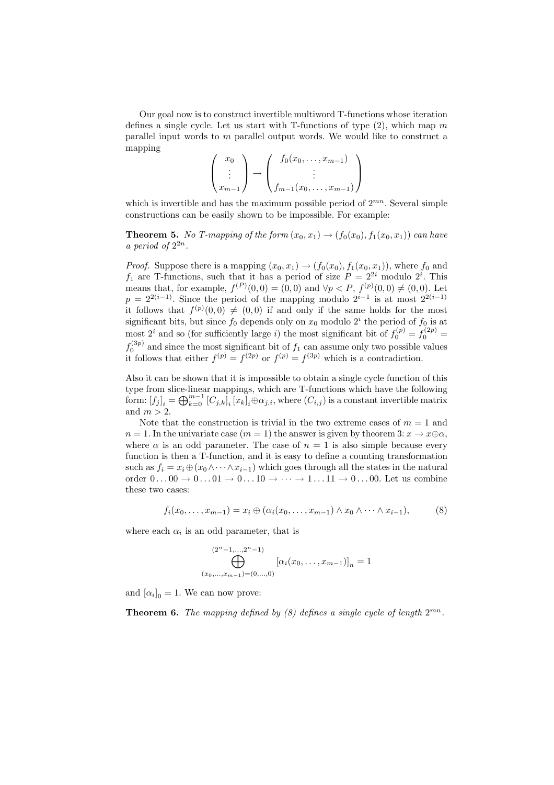Our goal now is to construct invertible multiword T-functions whose iteration defines a single cycle. Let us start with T-functions of type  $(2)$ , which map m parallel input words to m parallel output words. We would like to construct a mapping

$$
\begin{pmatrix} x_0 \\ \vdots \\ x_{m-1} \end{pmatrix} \rightarrow \begin{pmatrix} f_0(x_0, \dots, x_{m-1}) \\ \vdots \\ f_{m-1}(x_0, \dots, x_{m-1}) \end{pmatrix}
$$

which is invertible and has the maximum possible period of  $2^{mn}$ . Several simple constructions can be easily shown to be impossible. For example:

**Theorem 5.** No T-mapping of the form  $(x_0, x_1) \rightarrow (f_0(x_0), f_1(x_0, x_1))$  can have a period of  $2^{2n}$ .

*Proof.* Suppose there is a mapping  $(x_0, x_1) \rightarrow (f_0(x_0), f_1(x_0, x_1))$ , where  $f_0$  and  $f_1$  are T-functions, such that it has a period of size  $P = 2^{2i}$  modulo  $2^i$ . This means that, for example,  $f^{(P)}(0,0) = (0,0)$  and  $\forall p < P$ ,  $f^{(p)}(0,0) \neq (0,0)$ . Let  $p = 2^{2(i-1)}$ . Since the period of the mapping modulo  $2^{i-1}$  is at most  $2^{2(i-1)}$ it follows that  $f^{(p)}(0,0) \neq (0,0)$  if and only if the same holds for the most significant bits, but since  $f_0$  depends only on  $x_0$  modulo  $2^i$  the period of  $f_0$  is at most  $2^i$  and so (for sufficiently large *i*) the most significant bit of  $f_0^{(p)} = f_0^{(2p)} =$  $f_0^{(3p)}$  and since the most significant bit of  $f_1$  can assume only two possible values it follows that either  $f^{(p)} = f^{(2p)}$  or  $f^{(p)} = f^{(3p)}$  which is a contradiction.

Also it can be shown that it is impossible to obtain a single cycle function of this type from slice-linear mappings, which are T-functions which have the following form:  $[f_j]_i = \bigoplus_{k=0}^{m-1} [C_{j,k}]_i [x_k]_i \oplus \alpha_{j,i}$ , where  $(C_{i,j})$  is a constant invertible matrix and  $m > 2$ .

Note that the construction is trivial in the two extreme cases of  $m = 1$  and  $n = 1$ . In the univariate case  $(m = 1)$  the answer is given by theorem  $3: x \to x \oplus \alpha$ , where  $\alpha$  is an odd parameter. The case of  $n = 1$  is also simple because every function is then a T-function, and it is easy to define a counting transformation such as  $f_i = x_i \oplus (x_0 \wedge \cdots \wedge x_{i-1})$  which goes through all the states in the natural order  $0 \dots 00 \rightarrow 0 \dots 01 \rightarrow 0 \dots 10 \rightarrow \cdots \rightarrow 1 \dots 11 \rightarrow 0 \dots 00$ . Let us combine these two cases:

$$
f_i(x_0,\ldots,x_{m-1})=x_i\oplus(\alpha_i(x_0,\ldots,x_{m-1})\wedge x_0\wedge\cdots\wedge x_{i-1}),\qquad(8)
$$

where each  $\alpha_i$  is an odd parameter, that is

$$
\bigoplus_{(x_0,...,x_{m-1})=(0,...,0)}^{(2^n-1,...,2^n-1)} [\alpha_i(x_0,...,x_{m-1})]_n = 1
$$

and  $[\alpha_i]_0 = 1$ . We can now prove:

**Theorem 6.** The mapping defined by (8) defines a single cycle of length  $2^{mn}$ .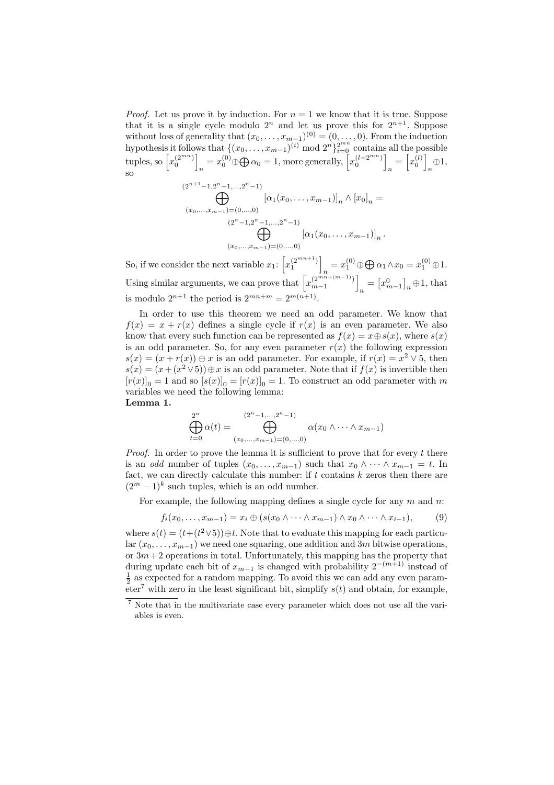*Proof.* Let us prove it by induction. For  $n = 1$  we know that it is true. Suppose that it is a single cycle modulo  $2^n$  and let us prove this for  $2^{n+1}$ . Suppose without loss of generality that  $(x_0, \ldots, x_{m-1})^{(0)} = (0, \ldots, 0)$ . From the induction hypothesis it follows that  $\{(x_0, \ldots, x_{m-1})^{(i)} \bmod 2^n\}_{i=0}^{2^{mn}}$  contains all the possible tuples, so  $\left[x_0^{(2^{mn})}\right]$  $n = x_0^{(0)} \oplus \bigoplus \alpha_0 = 1$ , more generally,  $\left[ x_0^{(l+2^{mn})} \right]$  $n = \left[x_0^{(l)}\right]$  $\underset{n}{\oplus}1,$ so

$$
(2^{n+1}-1,2^{n}-1,...,2^{n}-1)
$$
  
\n
$$
\bigoplus_{(x_0,...,x_{m-1})=(0,...,0)}^{(x_{m-1},x_{m-1})} [\alpha_1(x_0,...,x_{m-1})]_n \wedge [x_0]_n =
$$
  
\n
$$
(2^{n}-1,2^{n}-1,...,2^{n}-1)
$$
  
\n
$$
\bigoplus_{(x_0,...,x_{m-1})=(0,...,0)}^{(x_{m-1},x_{m-1})} [\alpha_1(x_0,...,x_{m-1})]_n.
$$

So, if we consider the next variable  $x_1: \left[x_1^{(2^{mn+1})}\right]$  $x_1^{(0)} \oplus \bigoplus \alpha_1 \wedge x_0 = x_1^{(0)} \oplus 1.$ Using similar arguments, we can prove that  $\left[x_{m-1}^{(2^{mn+(m-1)})}\right]$  $_n = [x_{m-1}^0]_n \oplus 1$ , that is modulo  $2^{n+1}$  the period is  $2^{mn+m} = 2^{m(n+1)}$ .

In order to use this theorem we need an odd parameter. We know that  $f(x) = x + r(x)$  defines a single cycle if  $r(x)$  is an even parameter. We also know that every such function can be represented as  $f(x) = x \oplus s(x)$ , where  $s(x)$ is an odd parameter. So, for any even parameter  $r(x)$  the following expression  $s(x) = (x + r(x)) \oplus x$  is an odd parameter. For example, if  $r(x) = x^2 \vee 5$ , then  $s(x) = (x + (x^2 \vee 5)) \oplus x$  is an odd parameter. Note that if  $f(x)$  is invertible then  $[r(x)]_0 = 1$  and so  $[s(x)]_0 = [r(x)]_0 = 1$ . To construct an odd parameter with m variables we need the following lemma:

Lemma 1.

$$
\bigoplus_{t=0}^{2^n} \alpha(t) = \bigoplus_{(x_0,...,x_{m-1})=(0,...,0)}^{(2^n-1,...,2^n-1)} \alpha(x_0 \wedge \cdots \wedge x_{m-1})
$$

*Proof.* In order to prove the lemma it is sufficient to prove that for every  $t$  there is an *odd* number of tuples  $(x_0, \ldots, x_{m-1})$  such that  $x_0 \wedge \cdots \wedge x_{m-1} = t$ . In fact, we can directly calculate this number: if  $t$  contains  $k$  zeros then there are  $(2<sup>m</sup> - 1)<sup>k</sup>$  such tuples, which is an odd number.

For example, the following mapping defines a single cycle for any  $m$  and  $n$ :

$$
f_i(x_0,\ldots,x_{m-1})=x_i\oplus (s(x_0\wedge\cdots\wedge x_{m-1})\wedge x_0\wedge\cdots\wedge x_{i-1}),\qquad (9)
$$

where  $s(t) = (t+(t^2 \vee 5)) \oplus t$ . Note that to evaluate this mapping for each particular  $(x_0, \ldots, x_{m-1})$  we need one squaring, one addition and 3m bitwise operations, or  $3m+2$  operations in total. Unfortunately, this mapping has the property that during update each bit of  $x_{m-1}$  is changed with probability  $2^{-(m+1)}$  instead of  $\frac{1}{2}$  as expected for a random mapping. To avoid this we can add any even parameter<sup>7</sup> with zero in the least significant bit, simplify  $s(t)$  and obtain, for example,

<sup>7</sup> Note that in the multivariate case every parameter which does not use all the variables is even.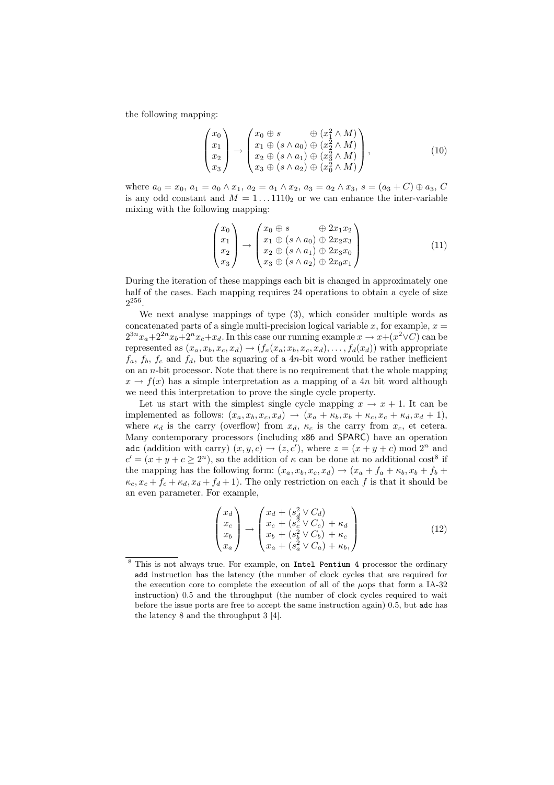the following mapping:

$$
\begin{pmatrix} x_0 \\ x_1 \\ x_2 \\ x_3 \end{pmatrix} \rightarrow \begin{pmatrix} x_0 \oplus s & \oplus (x_1^2 \wedge M) \\ x_1 \oplus (s \wedge a_0) \oplus (x_2^2 \wedge M) \\ x_2 \oplus (s \wedge a_1) \oplus (x_3^2 \wedge M) \\ x_3 \oplus (s \wedge a_2) \oplus (x_0^2 \wedge M) \end{pmatrix},\tag{10}
$$

where  $a_0 = x_0$ ,  $a_1 = a_0 \wedge x_1$ ,  $a_2 = a_1 \wedge x_2$ ,  $a_3 = a_2 \wedge x_3$ ,  $s = (a_3 + C) \oplus a_3$ , C is any odd constant and  $M = 1 \dots 1110_2$  or we can enhance the inter-variable mixing with the following mapping:

$$
\begin{pmatrix}\nx_0 \\
x_1 \\
x_2 \\
x_3\n\end{pmatrix}\n\rightarrow\n\begin{pmatrix}\nx_0 \oplus s & \oplus 2x_1x_2 \\
x_1 \oplus (s \wedge a_0) \oplus 2x_2x_3 \\
x_2 \oplus (s \wedge a_1) \oplus 2x_3x_0 \\
x_3 \oplus (s \wedge a_2) \oplus 2x_0x_1\n\end{pmatrix} \tag{11}
$$

During the iteration of these mappings each bit is changed in approximately one half of the cases. Each mapping requires 24 operations to obtain a cycle of size  $2^{256}$ .

We next analyse mappings of type (3), which consider multiple words as concatenated parts of a single multi-precision logical variable x, for example,  $x =$  $2^{3n}x_a+2^{2n}x_b+2^nx_c+x_d$ . In this case our running example  $x \to x+(x^2 \vee C)$  can be represented as  $(x_a, x_b, x_c, x_d) \rightarrow (f_a(x_a; x_b, x_c, x_d), \dots, f_d(x_d))$  with appropriate  $f_a, f_b, f_c$  and  $f_d$ , but the squaring of a 4n-bit word would be rather inefficient on an  $n$ -bit processor. Note that there is no requirement that the whole mapping  $x \to f(x)$  has a simple interpretation as a mapping of a 4n bit word although we need this interpretation to prove the single cycle property.

Let us start with the simplest single cycle mapping  $x \to x + 1$ . It can be implemented as follows:  $(x_a, x_b, x_c, x_d) \rightarrow (x_a + \kappa_b, x_b + \kappa_c, x_c + \kappa_d, x_d + 1),$ where  $\kappa_d$  is the carry (overflow) from  $x_d$ ,  $\kappa_c$  is the carry from  $x_c$ , et cetera. Many contemporary processors (including x86 and SPARC) have an operation adc (addition with carry)  $(x, y, c) \rightarrow (z, c')$ , where  $z = (x + y + c) \mod 2^n$  and  $c' = (x + y + c \ge 2<sup>n</sup>)$ , so the addition of  $\kappa$  can be done at no additional cost<sup>8</sup> if the mapping has the following form:  $(x_a, x_b, x_c, x_d) \rightarrow (x_a + f_a + \kappa_b, x_b + f_b +$  $\kappa_c$ ,  $x_c + f_c + \kappa_d$ ,  $x_d + f_d + 1$ ). The only restriction on each f is that it should be an even parameter. For example,

$$
\begin{pmatrix}\nx_d \\
x_c \\
x_b \\
x_b\n\end{pmatrix}\n\rightarrow\n\begin{pmatrix}\nx_d + (s_d^2 \vee C_d) \\
x_c + (s_c^2 \vee C_c) + \kappa_d \\
x_b + (s_b^2 \vee C_b) + \kappa_c \\
x_a + (s_a^2 \vee C_a) + \kappa_b\n\end{pmatrix}
$$
\n(12)

<sup>8</sup> This is not always true. For example, on Intel Pentium 4 processor the ordinary add instruction has the latency (the number of clock cycles that are required for the execution core to complete the execution of all of the  $\mu$ ops that form a IA-32 instruction) 0.5 and the throughput (the number of clock cycles required to wait before the issue ports are free to accept the same instruction again) 0.5, but adc has the latency 8 and the throughput 3 [4].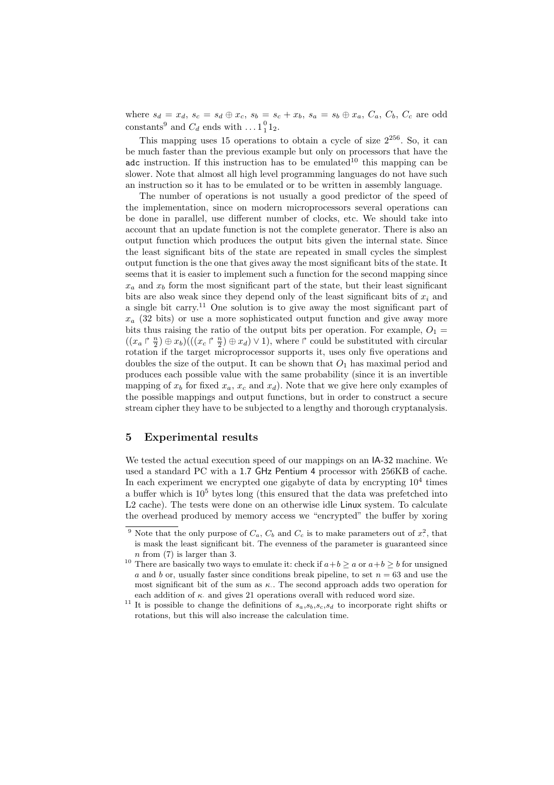where  $s_d = x_d$ ,  $s_c = s_d \oplus x_c$ ,  $s_b = s_c + x_b$ ,  $s_a = s_b \oplus x_a$ ,  $C_a$ ,  $C_b$ ,  $C_c$  are odd constants<sup>9</sup> and  $C_d$  ends with  $\dots$  1<sup>0</sup><sub>1</sub><sup>1</sup><sub>2</sub>.

This mapping uses 15 operations to obtain a cycle of size  $2^{256}$ . So, it can be much faster than the previous example but only on processors that have the adc instruction. If this instruction has to be emulated<sup>10</sup> this mapping can be slower. Note that almost all high level programming languages do not have such an instruction so it has to be emulated or to be written in assembly language.

The number of operations is not usually a good predictor of the speed of the implementation, since on modern microprocessors several operations can be done in parallel, use different number of clocks, etc. We should take into account that an update function is not the complete generator. There is also an output function which produces the output bits given the internal state. Since the least significant bits of the state are repeated in small cycles the simplest output function is the one that gives away the most significant bits of the state. It seems that it is easier to implement such a function for the second mapping since  $x_a$  and  $x_b$  form the most significant part of the state, but their least significant bits are also weak since they depend only of the least significant bits of  $x_i$  and a single bit carry.<sup>11</sup> One solution is to give away the most significant part of  $x_a$  (32 bits) or use a more sophisticated output function and give away more bits thus raising the ratio of the output bits per operation. For example,  $O_1 =$  $((x_a \rvert \frac{n}{2}) \oplus x_b) ((x_c \rvert \frac{n}{2}) \oplus x_d) \vee 1)$ , where  $\rvert$  could be substituted with circular rotation if the target microprocessor supports it, uses only five operations and doubles the size of the output. It can be shown that  $O_1$  has maximal period and produces each possible value with the same probability (since it is an invertible mapping of  $x_b$  for fixed  $x_a$ ,  $x_c$  and  $x_d$ ). Note that we give here only examples of the possible mappings and output functions, but in order to construct a secure stream cipher they have to be subjected to a lengthy and thorough cryptanalysis.

## 5 Experimental results

We tested the actual execution speed of our mappings on an IA-32 machine. We used a standard PC with a 1.7 GHz Pentium 4 processor with 256KB of cache. In each experiment we encrypted one gigabyte of data by encrypting  $10^4$  times a buffer which is  $10^5$  bytes long (this ensured that the data was prefetched into L2 cache). The tests were done on an otherwise idle Linux system. To calculate the overhead produced by memory access we "encrypted" the buffer by xoring

<sup>&</sup>lt;sup>9</sup> Note that the only purpose of  $C_a$ ,  $C_b$  and  $C_c$  is to make parameters out of  $x^2$ , that is mask the least significant bit. The evenness of the parameter is guaranteed since n from (7) is larger than 3.

<sup>&</sup>lt;sup>10</sup> There are basically two ways to emulate it: check if  $a+b \ge a$  or  $a+b \ge b$  for unsigned a and b or, usually faster since conditions break pipeline, to set  $n = 63$  and use the most significant bit of the sum as  $\kappa$ . The second approach adds two operation for each addition of  $\kappa$ . and gives 21 operations overall with reduced word size.

<sup>&</sup>lt;sup>11</sup> It is possible to change the definitions of  $s_a,s_b,s_c,s_d$  to incorporate right shifts or rotations, but this will also increase the calculation time.